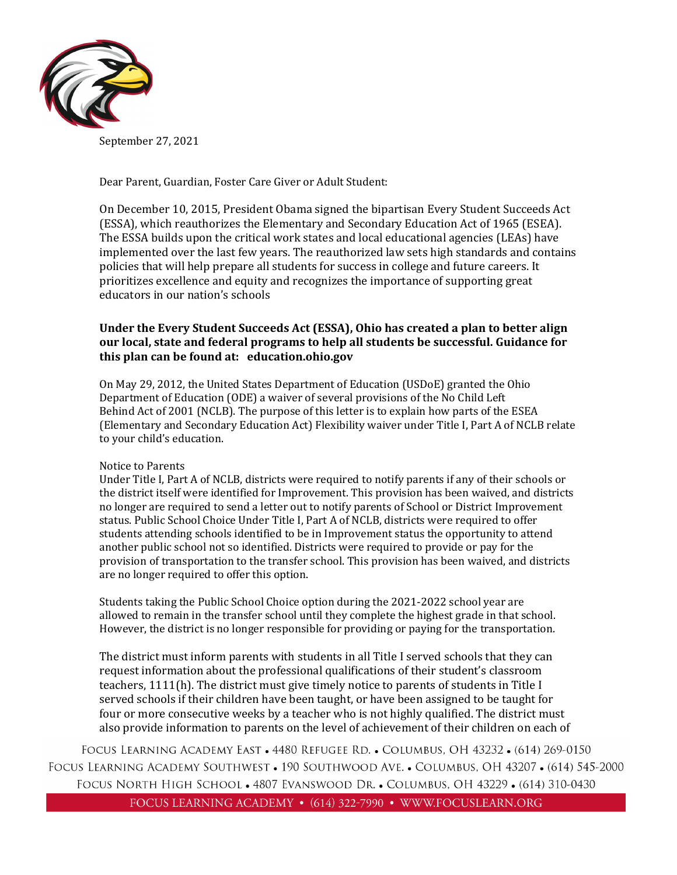

September 27, 2021

Dear Parent, Guardian, Foster Care Giver or Adult Student:

On December 10, 2015, President Obama signed the bipartisan Every Student Succeeds Act (ESSA), which reauthorizes the Elementary and Secondary Education Act of 1965 (ESEA). The ESSA builds upon the critical work states and local educational agencies (LEAs) have implemented over the last few years. The reauthorized law sets high standards and contains policies that will help prepare all students for success in college and future careers. It prioritizes excellence and equity and recognizes the importance of supporting great educators in our nation's schools

### **Under the Every Student Succeeds Act (ESSA), Ohio has created a plan to better align our local, state and federal programs to help all students be successful. Guidance for this plan can be found at: education.ohio.gov**

On May 29, 2012, the United States Department of Education (USDoE) granted the Ohio Department of Education (ODE) a waiver of several provisions of the No Child Left Behind Act of 2001 (NCLB). The purpose of this letter is to explain how parts of the ESEA (Elementary and Secondary Education Act) Flexibility waiver under Title I, Part A of NCLB relate to your child's education.

#### Notice to Parents

Under Title I, Part A of NCLB, districts were required to notify parents if any of their schools or the district itself were identified for Improvement. This provision has been waived, and districts no longer are required to send a letter out to notify parents of School or District Improvement status. Public School Choice Under Title I, Part A of NCLB, districts were required to offer students attending schools identified to be in Improvement status the opportunity to attend another public school not so identified. Districts were required to provide or pay for the provision of transportation to the transfer school. This provision has been waived, and districts are no longer required to offer this option.

Students taking the Public School Choice option during the 2021-2022 school year are allowed to remain in the transfer school until they complete the highest grade in that school. However, the district is no longer responsible for providing or paying for the transportation.

The district must inform parents with students in all Title I served schools that they can request information about the professional qualifications of their student's classroom teachers, 1111(h). The district must give timely notice to parents of students in Title I served schools if their children have been taught, or have been assigned to be taught for four or more consecutive weeks by a teacher who is not highly qualified. The district must also provide information to parents on the level of achievement of their children on each of

FOCUS LEARNING ACADEMY EAST • 4480 REFUGEE RD. • COLUMBUS, OH 43232 • (614) 269-0150 FOCUS LEARNING ACADEMY SOUTHWEST • 190 SOUTHWOOD AVE. • COLUMBUS, OH 43207 • (614) 545-2000 FOCUS NORTH HIGH SCHOOL • 4807 EVANSWOOD DR. • COLUMBUS, OH 43229 • (614) 310-0430

FOCUS LEARNING ACADEMY • (614) 322-7990 • WWW.FOCUSLEARN.ORG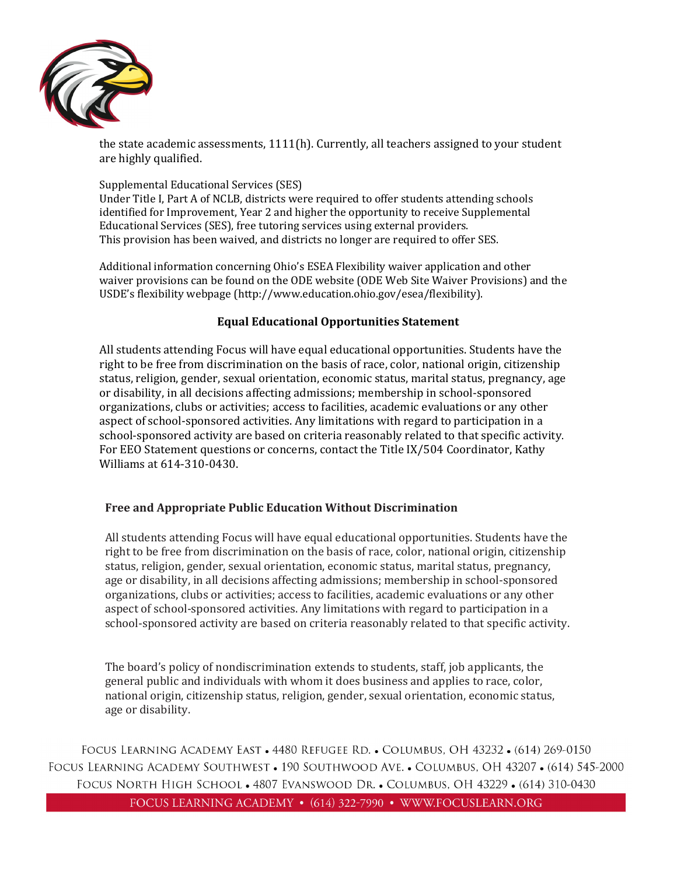

the state academic assessments, 1111(h). Currently, all teachers assigned to your student are highly qualified.

# Supplemental Educational Services (SES)

Under Title I, Part A of NCLB, districts were required to offer students attending schools identified for Improvement, Year 2 and higher the opportunity to receive Supplemental Educational Services (SES), free tutoring services using external providers. This provision has been waived, and districts no longer are required to offer SES.

Additional information concerning Ohio's ESEA Flexibility waiver application and other waiver provisions can be found on the ODE website (ODE Web Site Waiver Provisions) and the USDE's flexibility webpage [\(http://www.education.ohio.gov/esea/flexibility\)](http://www.education.ohio.gov/esea/flexibility).

## **Equal Educational Opportunities Statement**

All students attending Focus will have equal educational opportunities. Students have the right to be free from discrimination on the basis of race, color, national origin, citizenship status, religion, gender, sexual orientation, economic status, marital status, pregnancy, age or disability, in all decisions affecting admissions; membership in school-sponsored organizations, clubs or activities; access to facilities, academic evaluations or any other aspect of school-sponsored activities. Any limitations with regard to participation in a school-sponsored activity are based on criteria reasonably related to that specific activity. For EEO Statement questions or concerns, contact the Title IX/504 Coordinator, Kathy Williams at 614-310-0430.

## **Free and Appropriate Public Education Without Discrimination**

All students attending Focus will have equal educational opportunities. Students have the right to be free from discrimination on the basis of race, color, national origin, citizenship status, religion, gender, sexual orientation, economic status, marital status, pregnancy, age or disability, in all decisions affecting admissions; membership in school-sponsored organizations, clubs or activities; access to facilities, academic evaluations or any other aspect of school-sponsored activities. Any limitations with regard to participation in a school-sponsored activity are based on criteria reasonably related to that specific activity.

The board's policy of nondiscrimination extends to students, staff, job applicants, the general public and individuals with whom it does business and applies to race, color, national origin, citizenship status, religion, gender, sexual orientation, economic status, age or disability.

FOCUS LEARNING ACADEMY EAST • 4480 REFUGEE RD. • COLUMBUS, OH 43232 • (614) 269-0150 FOCUS LEARNING ACADEMY SOUTHWEST • 190 SOUTHWOOD AVE. • COLUMBUS, OH 43207 • (614) 545-2000 FOCUS NORTH HIGH SCHOOL . 4807 EVANSWOOD DR. . COLUMBUS, OH 43229 . (614) 310-0430 FOCUS LEARNING ACADEMY • (614) 322-7990 • WWW.FOCUSLEARN.ORG